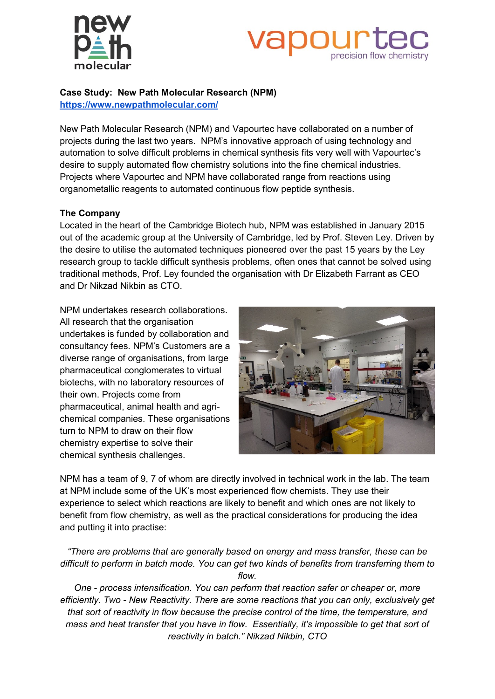



**Case Study: New Path Molecular Research (NPM)** 

**<https://www.newpathmolecular.com/>**

New Path Molecular Research (NPM) and Vapourtec have collaborated on a number of projects during the last two years. NPM's innovative approach of using technology and automation to solve difficult problems in chemical synthesis fits very well with Vapourtec's desire to supply automated flow chemistry solutions into the fine chemical industries. Projects where Vapourtec and NPM have collaborated range from reactions using organometallic reagents to automated continuous flow peptide synthesis.

### **The Company**

Located in the heart of the Cambridge Biotech hub, NPM was established in January 2015 out of the academic group at the University of Cambridge, led by Prof. Steven Ley. Driven by the desire to utilise the automated techniques pioneered over the past 15 years by the Ley research group to tackle difficult synthesis problems, often ones that cannot be solved using traditional methods, Prof. Ley founded the organisation with Dr Elizabeth Farrant as CEO and Dr Nikzad Nikbin as CTO.

NPM undertakes research collaborations. All research that the organisation undertakes is funded by collaboration and consultancy fees. NPM's Customers are a diverse range of organisations, from large pharmaceutical conglomerates to virtual biotechs, with no laboratory resources of their own. Projects come from pharmaceutical, animal health and agrichemical companies. These organisations turn to NPM to draw on their flow chemistry expertise to solve their chemical synthesis challenges.



NPM has a team of 9, 7 of whom are directly involved in technical work in the lab. The team at NPM include some of the UK's most experienced flow chemists. They use their experience to select which reactions are likely to benefit and which ones are not likely to benefit from flow chemistry, as well as the practical considerations for producing the idea and putting it into practise:

*"There are problems that are generally based on energy and mass transfer, these can be difficult to perform in batch mode. You can get two kinds of benefits from transferring them to flow.* 

*One - process intensification. You can perform that reaction safer or cheaper or, more efficiently. Two - New Reactivity. There are some reactions that you can only, exclusively get that sort of reactivity in flow because the precise control of the time, the temperature, and mass and heat transfer that you have in flow. Essentially, it's impossible to get that sort of reactivity in batch." Nikzad Nikbin, CTO*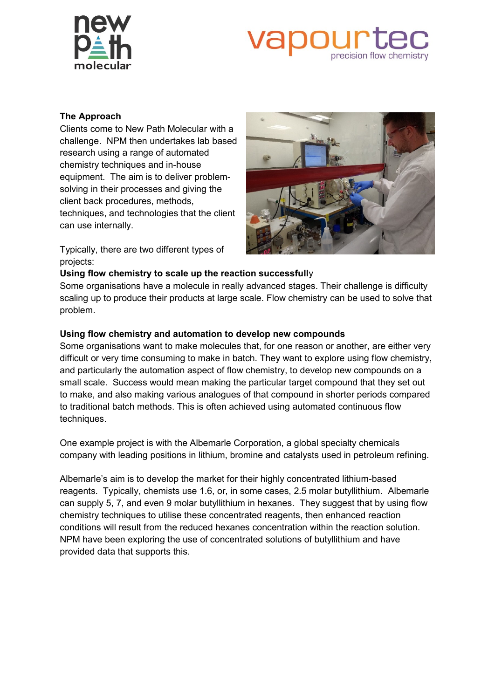



### **The Approach**

Clients come to New Path Molecular with a challenge. NPM then undertakes lab based research using a range of automated chemistry techniques and in-house equipment. The aim is to deliver problemsolving in their processes and giving the client back procedures, methods, techniques, and technologies that the client can use internally.

Typically, there are two different types of projects:



### **Using flow chemistry to scale up the reaction successfull**y

Some organisations have a molecule in really advanced stages. Their challenge is difficulty scaling up to produce their products at large scale. Flow chemistry can be used to solve that problem.

### **Using flow chemistry and automation to develop new compounds**

Some organisations want to make molecules that, for one reason or another, are either very difficult or very time consuming to make in batch. They want to explore using flow chemistry, and particularly the automation aspect of flow chemistry, to develop new compounds on a small scale. Success would mean making the particular target compound that they set out to make, and also making various analogues of that compound in shorter periods compared to traditional batch methods. This is often achieved using automated continuous flow techniques.

One example project is with the Albemarle Corporation, a global specialty chemicals company with leading positions in lithium, bromine and catalysts used in petroleum refining.

Albemarle's aim is to develop the market for their highly concentrated lithium-based reagents. Typically, chemists use 1.6, or, in some cases, 2.5 molar butyllithium. Albemarle can supply 5, 7, and even 9 molar butyllithium in hexanes. They suggest that by using flow chemistry techniques to utilise these concentrated reagents, then enhanced reaction conditions will result from the reduced hexanes concentration within the reaction solution. NPM have been exploring the use of concentrated solutions of butyllithium and have provided data that supports this.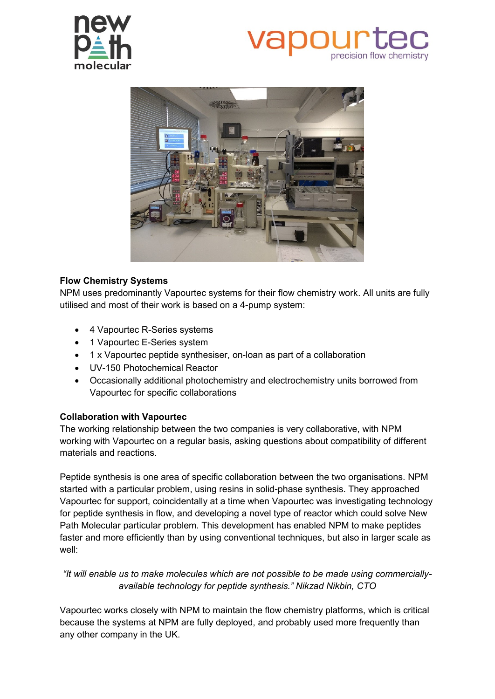

# precision flow chemistry



## **Flow Chemistry Systems**

NPM uses predominantly Vapourtec systems for their flow chemistry work. All units are fully utilised and most of their work is based on a 4-pump system:

- 4 Vapourtec R-Series systems
- 1 Vapourtec E-Series system
- 1 x Vapourtec peptide synthesiser, on-loan as part of a collaboration
- UV-150 Photochemical Reactor
- Occasionally additional photochemistry and electrochemistry units borrowed from Vapourtec for specific collaborations

## **Collaboration with Vapourtec**

The working relationship between the two companies is very collaborative, with NPM working with Vapourtec on a regular basis, asking questions about compatibility of different materials and reactions.

Peptide synthesis is one area of specific collaboration between the two organisations. NPM started with a particular problem, using resins in solid-phase synthesis. They approached Vapourtec for support, coincidentally at a time when Vapourtec was investigating technology for peptide synthesis in flow, and developing a novel type of reactor which could solve New Path Molecular particular problem. This development has enabled NPM to make peptides faster and more efficiently than by using conventional techniques, but also in larger scale as well:

*"It will enable us to make molecules which are not possible to be made using commerciallyavailable technology for peptide synthesis." Nikzad Nikbin, CTO*

Vapourtec works closely with NPM to maintain the flow chemistry platforms, which is critical because the systems at NPM are fully deployed, and probably used more frequently than any other company in the UK.